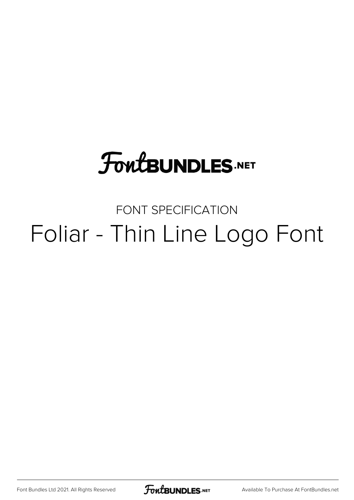# **FoutBUNDLES.NET**

### FONT SPECIFICATION Foliar - Thin Line Logo Font

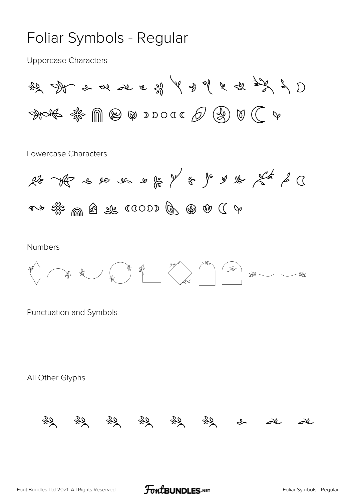#### Foliar Symbols - Regular

Uppercase Characters



Lowercase Characters

 $28 - 40$  a se sa s  $\frac{10}{10}$   $\frac{10}{10}$   $\frac{10}{10}$   $\frac{10}{10}$   $\frac{10}{10}$   $\frac{10}{10}$   $\frac{10}{10}$   $\frac{10}{10}$   $\frac{10}{10}$ po # n a se coop a @ @ C &

Numbers



Punctuation and Symbols

All Other Glyphs









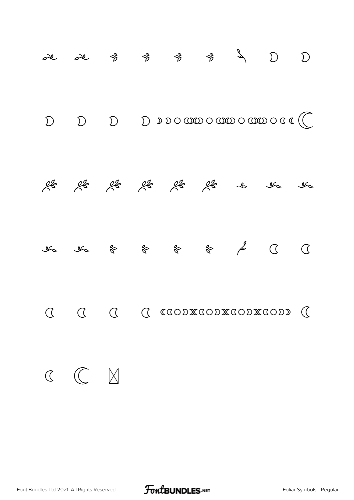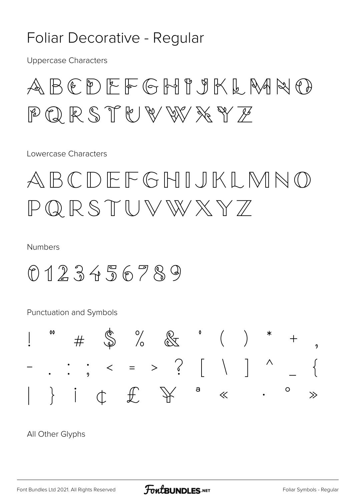#### Foliar Decorative - Regular

**Uppercase Characters** 

## ABCPFFGHTJKLAANO PORSTUWXXYZ

Lowercase Characters

# ABCDFFGHIJKLMNO  $PQRSTUVWXXYZ$

**Numbers** 

### $0123456789$

Punctuation and Symbols



All Other Glyphs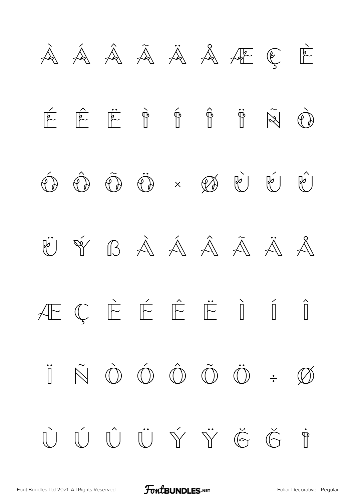

[Font Bundles Ltd 2021. All Rights Reserved](https://fontbundles.net/) **FoutBUNDLES.NET** [Foliar Decorative - Regular](https://fontbundles.net/)